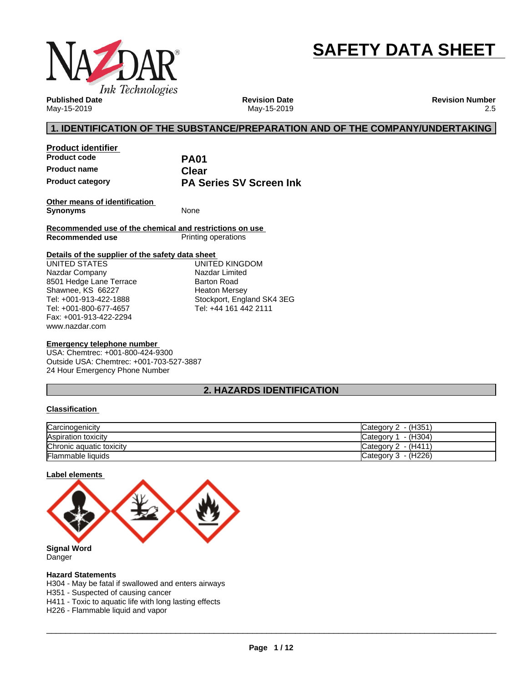

# **SAFETY DATA SHEET**

**Published Date** May-15-2019

**Revision Date** May-15-2019 **Revision Number** 2.5

### **1. IDENTIFICATION OF THE SUBSTANCE/PREPARATION AND OF THE COMPANY/UNDERTAKING**

| <b>Product identifier</b> |                                |  |
|---------------------------|--------------------------------|--|
| <b>Product code</b>       | <b>PA01</b>                    |  |
| <b>Product name</b>       | Clear                          |  |
| <b>Product category</b>   | <b>PA Series SV Screen Ink</b> |  |

**Other means of identification Synonyms** None

**Recommended use of the chemical and restrictions on use Printing operations** 

### **Details of the supplier of the safety data sheet**

www.nazdar.com UNITED STATES Nazdar Company 8501 Hedge Lane Terrace Shawnee, KS 66227 Tel: +001-913-422-1888 Tel: +001-800-677-4657 Fax: +001-913-422-2294

UNITED KINGDOM Nazdar Limited Barton Road Heaton Mersey Stockport, England SK4 3EG Tel: +44 161 442 2111

### **Emergency telephone number**

USA: Chemtrec: +001-800-424-9300 Outside USA: Chemtrec: +001-703-527-3887 24 Hour Emergency Phone Number

### **2. HAZARDS IDENTIFICATION**

### **Classification**

| Carcinogenicity          | Category 2 - (H351)   |
|--------------------------|-----------------------|
| Aspiration toxicity      | Category 1 - (H304)   |
| Chronic aquatic toxicity | Category $2 - (H411)$ |
| <b>Flammable liquids</b> | Category 3 - (H226)   |

### **Label elements**



Danger

### **Hazard Statements**

H304 - May be fatal if swallowed and enters airways

H351 - Suspected of causing cancer

H411 - Toxic to aquatic life with long lasting effects

H226 - Flammable liquid and vapor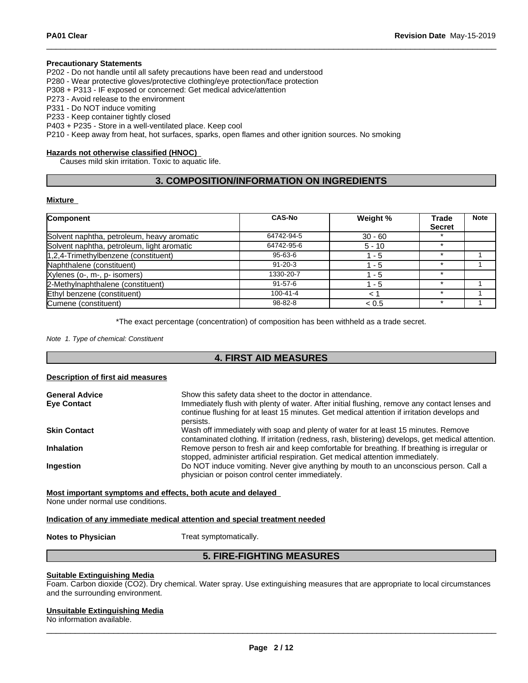### **Precautionary Statements**

P202 - Do not handle until all safety precautions have been read and understood

P280 - Wear protective gloves/protective clothing/eye protection/face protection

P308 + P313 - IF exposed or concerned: Get medical advice/attention

P273 - Avoid release to the environment

P331 - Do NOT induce vomiting

P233 - Keep container tightly closed

P403 + P235 - Store in a well-ventilated place. Keep cool

P210 - Keep away from heat, hot surfaces, sparks, open flames and other ignition sources. No smoking

### **Hazards not otherwise classified (HNOC)**

Causes mild skin irritation. Toxic to aquatic life.

### **3. COMPOSITION/INFORMATION ON INGREDIENTS**

#### **Mixture**

| <b>Component</b>                           | <b>CAS-No</b>  | Weight %  | Trade         | <b>Note</b> |
|--------------------------------------------|----------------|-----------|---------------|-------------|
|                                            |                |           | <b>Secret</b> |             |
| Solvent naphtha, petroleum, heavy aromatic | 64742-94-5     | $30 - 60$ |               |             |
| Solvent naphtha, petroleum, light aromatic | 64742-95-6     | $5 - 10$  | ÷             |             |
| $ 1,2,4$ -Trimethylbenzene (constituent)   | $95 - 63 - 6$  | l - 5     |               |             |
| Naphthalene (constituent)                  | $91 - 20 - 3$  | 1 - 5     |               |             |
| Xylenes (o-, m-, p- isomers)               | 1330-20-7      | 1 - 5     |               |             |
| 2-Methylnaphthalene (constituent)          | $91 - 57 - 6$  | - 5       |               |             |
| Ethyl benzene (constituent)                | $100 - 41 - 4$ |           |               |             |
| Cumene (constituent)                       | 98-82-8        | < 0.5     |               |             |

\*The exact percentage (concentration) of composition has been withheld as a trade secret.

*Note 1. Type of chemical: Constituent*

### **4. FIRST AID MEASURES**

#### **Description of first aid measures**

| <b>General Advice</b><br><b>Eye Contact</b>                                                                                                                                                                    | Show this safety data sheet to the doctor in attendance.<br>Immediately flush with plenty of water. After initial flushing, remove any contact lenses and<br>continue flushing for at least 15 minutes. Get medical attention if irritation develops and<br>persists. |
|----------------------------------------------------------------------------------------------------------------------------------------------------------------------------------------------------------------|-----------------------------------------------------------------------------------------------------------------------------------------------------------------------------------------------------------------------------------------------------------------------|
| Wash off immediately with soap and plenty of water for at least 15 minutes. Remove<br><b>Skin Contact</b><br>contaminated clothing. If irritation (redness, rash, blistering) develops, get medical attention. |                                                                                                                                                                                                                                                                       |
| Remove person to fresh air and keep comfortable for breathing. If breathing is irregular or<br><b>Inhalation</b><br>stopped, administer artificial respiration. Get medical attention immediately.             |                                                                                                                                                                                                                                                                       |
| <b>Ingestion</b>                                                                                                                                                                                               | Do NOT induce vomiting. Never give anything by mouth to an unconscious person. Call a<br>physician or poison control center immediately.                                                                                                                              |

**Most important symptoms and effects, both acute and delayed**

None under normal use conditions.

### **Indication of any immediate medical attention and special treatment needed**

**Notes to Physician** Treat symptomatically.

### **5. FIRE-FIGHTING MEASURES**

### **Suitable Extinguishing Media**

Foam. Carbon dioxide (CO2). Dry chemical. Water spray. Use extinguishing measures that are appropriate to local circumstances and the surrounding environment.

### **Unsuitable Extinguishing Media**

No information available.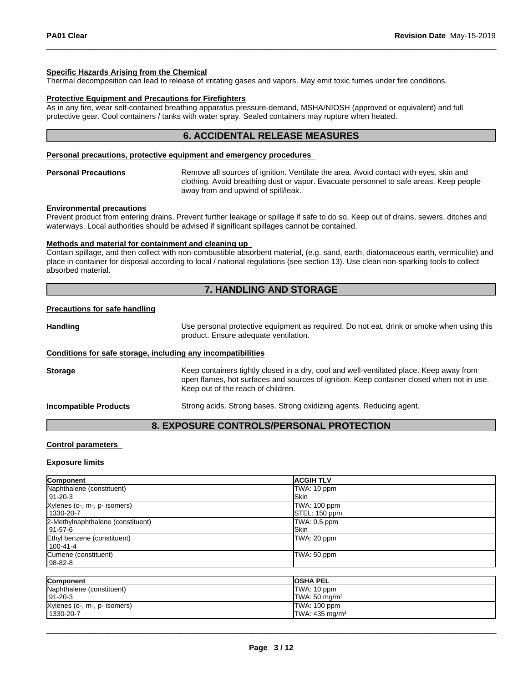### **Specific Hazards Arising from the Chemical**

Thermal decomposition can lead to release of irritating gases and vapors. May emit toxic fumes under fire conditions.

### **Protective Equipment and Precautions for Firefighters**

As in any fire, wear self-contained breathing apparatus pressure-demand, MSHA/NIOSH (approved or equivalent) and full protective gear. Cool containers / tanks with water spray. Sealed containers may rupture when heated.

### **6. ACCIDENTAL RELEASE MEASURES**

### **Personal precautions, protective equipment and emergency procedures**

**Personal Precautions** Remove all sources of ignition. Ventilate the area. Avoid contact with eyes, skin and clothing. Avoid breathing dust or vapor. Evacuate personnel to safe areas. Keep people away from and upwind of spill/leak.

#### **Environmental precautions**

Prevent product from entering drains. Prevent further leakage or spillage if safe to do so. Keep out of drains, sewers, ditches and waterways. Local authorities should be advised if significant spillages cannot be contained.

### **Methods and material for containment and cleaning up**

Contain spillage, and then collectwith non-combustible absorbent material, (e.g. sand, earth, diatomaceous earth, vermiculite) and place in container for disposal according to local / national regulations (see section 13). Use clean non-sparking tools to collect absorbed material.

### **7. HANDLING AND STORAGE**

#### **Precautions for safe handling**

Handling **Handling** Use personal protective equipment as required. Do not eat, drink or smoke when using this product. Ensure adequate ventilation.

#### **Conditions for safe storage, including any incompatibilities**

**Storage** Keep containers tightly closed in a dry, cool and well-ventilated place. Keep away from open flames, hot surfaces and sources of ignition. Keep container closed when not in use. Keep out of the reach of children.

**Incompatible Products** Strong acids. Strong bases. Strong oxidizing agents. Reducing agent.

### **8. EXPOSURE CONTROLS/PERSONAL PROTECTION**

### **Control parameters**

#### **Exposure limits**

| Component                         | <b>ACGIHTLV</b> |
|-----------------------------------|-----------------|
| Naphthalene (constituent)         | TWA: 10 ppm     |
| 191-20-3                          | <b>ISkin</b>    |
| Xylenes (o-, m-, p- isomers)      | TWA: 100 ppm    |
| 1330-20-7                         | STEL: 150 ppm   |
| 2-Methylnaphthalene (constituent) | TWA: 0.5 ppm    |
| 191-57-6                          | <b>ISkin</b>    |
| Ethyl benzene (constituent)       | TWA: 20 ppm     |
| 100-41-4                          |                 |
| Cumene (constituent)              | TWA: 50 ppm     |
| 98-82-8                           |                 |
|                                   |                 |
|                                   |                 |

| Component                    | <b>IOSHA PEL</b>             |
|------------------------------|------------------------------|
| Naphthalene (constituent)    | TWA: 10 ppm                  |
| $191 - 20 - 3$               | $TWA: 50$ mg/m <sup>3</sup>  |
| Xylenes (o-, m-, p- isomers) | ITWA: 100 ppm                |
| 1330-20-7                    | $TWA: 435$ ma/m <sup>3</sup> |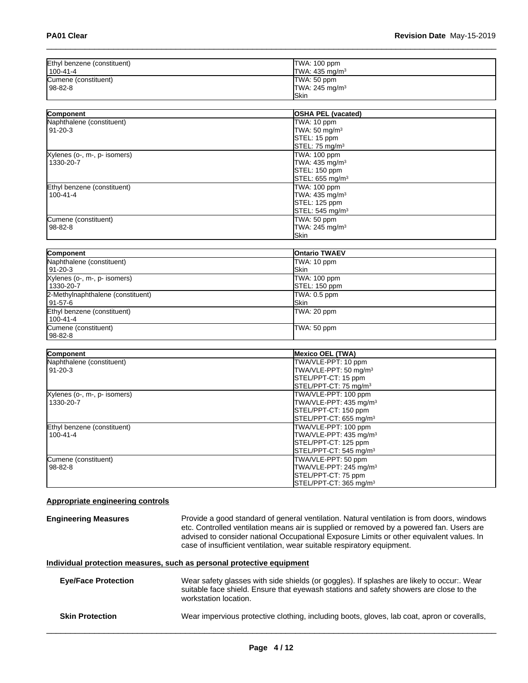| Ethyl benzene (constituent) | TWA: 100 ppm               |
|-----------------------------|----------------------------|
| 100-41-4                    | TWA: 435 mg/m <sup>3</sup> |
| Cumene (constituent)        | TWA: 50 ppm                |
| 98-82-8                     | TWA: 245 mg/m <sup>3</sup> |
|                             | <b>ISkin</b>               |

| <b>Component</b>             | <b>OSHA PEL (vacated)</b>   |  |
|------------------------------|-----------------------------|--|
| Naphthalene (constituent)    | TWA: 10 ppm                 |  |
| $91 - 20 - 3$                | TWA: 50 mg/m <sup>3</sup>   |  |
|                              | STEL: 15 ppm                |  |
|                              | STEL: 75 mg/m <sup>3</sup>  |  |
| Xylenes (o-, m-, p- isomers) | TWA: 100 ppm                |  |
| 1330-20-7                    | TWA: 435 mg/m <sup>3</sup>  |  |
|                              | STEL: 150 ppm               |  |
|                              | STEL: 655 mg/m <sup>3</sup> |  |
| Ethyl benzene (constituent)  | TWA: 100 ppm                |  |
| $100 - 41 - 4$               | TWA: 435 mg/m <sup>3</sup>  |  |
|                              | STEL: 125 ppm               |  |
|                              | STEL: 545 mg/m <sup>3</sup> |  |
| Cumene (constituent)         | TWA: 50 ppm                 |  |
| 98-82-8                      | TWA: 245 mg/m <sup>3</sup>  |  |
|                              | Skin                        |  |

| Component                         | <b>Ontario TWAEV</b> |
|-----------------------------------|----------------------|
| Naphthalene (constituent)         | TWA: 10 ppm          |
| 91-20-3                           | lSkin                |
| Xylenes (o-, m-, p- isomers)      | TWA: 100 ppm         |
| 1330-20-7                         | STEL: 150 ppm        |
| 2-Methylnaphthalene (constituent) | TWA: 0.5 ppm         |
| 91-57-6                           | lSkin                |
| Ethyl benzene (constituent)       | TWA: 20 ppm          |
| $100 - 41 - 4$                    |                      |
| Cumene (constituent)              | TWA: 50 ppm          |
| 98-82-8                           |                      |

| Component                    | <b>Mexico OEL (TWA)</b>            |
|------------------------------|------------------------------------|
| Naphthalene (constituent)    | TWA/VLE-PPT: 10 ppm                |
| $91 - 20 - 3$                | TWA/VLE-PPT: 50 mg/m <sup>3</sup>  |
|                              | STEL/PPT-CT: 15 ppm                |
|                              | STEL/PPT-CT: 75 mg/m <sup>3</sup>  |
| Xylenes (o-, m-, p- isomers) | TWA/VLE-PPT: 100 ppm               |
| 1330-20-7                    | TWA/VLE-PPT: 435 mg/m <sup>3</sup> |
|                              | STEL/PPT-CT: 150 ppm               |
|                              | STEL/PPT-CT: 655 mg/m <sup>3</sup> |
| Ethyl benzene (constituent)  | TWA/VLE-PPT: 100 ppm               |
| $100 - 41 - 4$               | TWA/VLE-PPT: 435 mg/m <sup>3</sup> |
|                              | STEL/PPT-CT: 125 ppm               |
|                              | STEL/PPT-CT: 545 mg/m <sup>3</sup> |
| Cumene (constituent)         | TWA/VLE-PPT: 50 ppm                |
| $98 - 82 - 8$                | TWA/VLE-PPT: 245 mg/m <sup>3</sup> |
|                              | STEL/PPT-CT: 75 ppm                |
|                              | STEL/PPT-CT: 365 mg/m <sup>3</sup> |

### **Appropriate engineering controls**

**Engineering Measures Provide a good standard of general ventilation. Natural ventilation is from doors, windows** etc. Controlled ventilation means air is supplied or removed by a powered fan. Users are advised to consider national Occupational Exposure Limits or other equivalent values. In case of insufficient ventilation, wear suitable respiratory equipment.

### **Individual protection measures, such as personal protective equipment**

| <b>Eve/Face Protection</b> | Wear safety glasses with side shields (or goggles). If splashes are likely to occur:. Wear<br>suitable face shield. Ensure that eyewash stations and safety showers are close to the<br>workstation location. |
|----------------------------|---------------------------------------------------------------------------------------------------------------------------------------------------------------------------------------------------------------|
| <b>Skin Protection</b>     | Wear impervious protective clothing, including boots, gloves, lab coat, apron or coveralls,                                                                                                                   |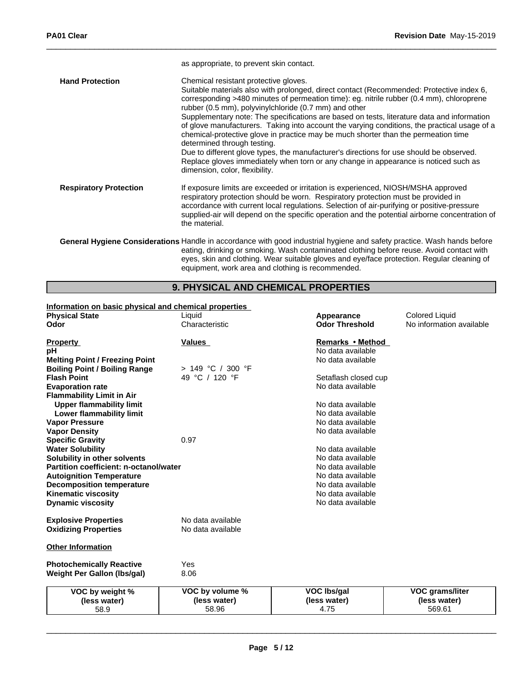|                               | as appropriate, to prevent skin contact.                                                                                                                                                                                                                                                                                                                                                                                                                                                                                                                                                                                                                                                                                                                                                                                      |
|-------------------------------|-------------------------------------------------------------------------------------------------------------------------------------------------------------------------------------------------------------------------------------------------------------------------------------------------------------------------------------------------------------------------------------------------------------------------------------------------------------------------------------------------------------------------------------------------------------------------------------------------------------------------------------------------------------------------------------------------------------------------------------------------------------------------------------------------------------------------------|
| <b>Hand Protection</b>        | Chemical resistant protective gloves.<br>Suitable materials also with prolonged, direct contact (Recommended: Protective index 6,<br>corresponding >480 minutes of permeation time): eg. nitrile rubber (0.4 mm), chloroprene<br>rubber (0.5 mm), polyvinylchloride (0.7 mm) and other<br>Supplementary note: The specifications are based on tests, literature data and information<br>of glove manufacturers. Taking into account the varying conditions, the practical usage of a<br>chemical-protective glove in practice may be much shorter than the permeation time<br>determined through testing.<br>Due to different glove types, the manufacturer's directions for use should be observed.<br>Replace gloves immediately when torn or any change in appearance is noticed such as<br>dimension, color, flexibility. |
| <b>Respiratory Protection</b> | If exposure limits are exceeded or irritation is experienced, NIOSH/MSHA approved<br>respiratory protection should be worn. Respiratory protection must be provided in<br>accordance with current local regulations. Selection of air-purifying or positive-pressure<br>supplied-air will depend on the specific operation and the potential airborne concentration of<br>the material.                                                                                                                                                                                                                                                                                                                                                                                                                                       |
|                               | General Hygiene Considerations Handle in accordance with good industrial hygiene and safety practice. Wash hands before<br>eating, drinking or smoking. Wash contaminated clothing before reuse. Avoid contact with<br>eyes, skin and clothing. Wear suitable gloves and eye/face protection. Regular cleaning of                                                                                                                                                                                                                                                                                                                                                                                                                                                                                                             |

### **9. PHYSICAL AND CHEMICAL PROPERTIES**

equipment, work area and clothing is recommended.

### **Information on basic physical and chemical properties**

| <b>Physical State</b><br>Odor          | <u>sival and shormoal proportion</u><br>Liquid<br>Characteristic | Appearance<br><b>Odor Threshold</b>    | <b>Colored Liquid</b><br>No information available |
|----------------------------------------|------------------------------------------------------------------|----------------------------------------|---------------------------------------------------|
|                                        |                                                                  |                                        |                                                   |
| <b>Property</b>                        | <b>Values</b>                                                    | Remarks • Method                       |                                                   |
| рH                                     |                                                                  | No data available                      |                                                   |
| <b>Melting Point / Freezing Point</b>  |                                                                  | No data available                      |                                                   |
| <b>Boiling Point / Boiling Range</b>   | > 149 °C / 300 °F                                                |                                        |                                                   |
| <b>Flash Point</b>                     | 49 °C / 120 °F                                                   | Setaflash closed cup                   |                                                   |
| <b>Evaporation rate</b>                |                                                                  | No data available                      |                                                   |
| <b>Flammability Limit in Air</b>       |                                                                  |                                        |                                                   |
| <b>Upper flammability limit</b>        |                                                                  | No data available                      |                                                   |
| Lower flammability limit               |                                                                  | No data available                      |                                                   |
| <b>Vapor Pressure</b>                  |                                                                  | No data available                      |                                                   |
| <b>Vapor Density</b>                   |                                                                  | No data available                      |                                                   |
| <b>Specific Gravity</b>                | 0.97                                                             |                                        |                                                   |
| <b>Water Solubility</b>                |                                                                  | No data available                      |                                                   |
| Solubility in other solvents           |                                                                  | No data available                      |                                                   |
| Partition coefficient: n-octanol/water |                                                                  | No data available                      |                                                   |
| <b>Autoignition Temperature</b>        |                                                                  | No data available<br>No data available |                                                   |
| <b>Decomposition temperature</b>       |                                                                  | No data available                      |                                                   |
| <b>Kinematic viscosity</b>             |                                                                  | No data available                      |                                                   |
| <b>Dynamic viscosity</b>               |                                                                  |                                        |                                                   |
| <b>Explosive Properties</b>            | No data available                                                |                                        |                                                   |
| <b>Oxidizing Properties</b>            | No data available                                                |                                        |                                                   |
|                                        |                                                                  |                                        |                                                   |
| <b>Other Information</b>               |                                                                  |                                        |                                                   |
|                                        |                                                                  |                                        |                                                   |
| <b>Photochemically Reactive</b>        | Yes                                                              |                                        |                                                   |
| <b>Weight Per Gallon (lbs/gal)</b>     | 8.06                                                             |                                        |                                                   |
| VOC by weight %                        | VOC by volume %                                                  | <b>VOC Ibs/gal</b>                     | <b>VOC grams/liter</b>                            |
| (less water)                           | (less water)                                                     | (less water)                           | (less water)                                      |
| 58.9                                   | 58.96                                                            | 4.75                                   | 569.61                                            |
|                                        |                                                                  |                                        |                                                   |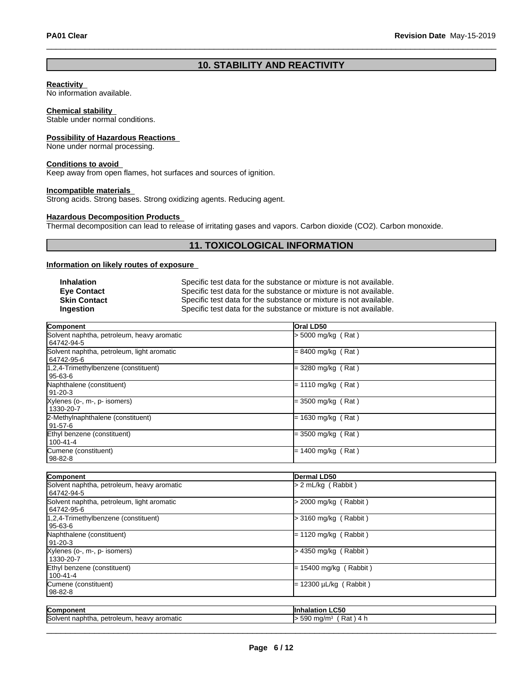### **10. STABILITY AND REACTIVITY**

### **Reactivity**

No information available.

### **Chemical stability**

Stable under normal conditions.

### **Possibility of Hazardous Reactions**

None under normal processing.

### **Conditions to avoid**

Keep away from open flames, hot surfaces and sources of ignition.

### **Incompatible materials**

Strong acids. Strong bases. Strong oxidizing agents. Reducing agent.

### **Hazardous Decomposition Products**

Thermal decomposition can lead to release of irritating gases and vapors. Carbon dioxide (CO2). Carbon monoxide.

### **11. TOXICOLOGICAL INFORMATION**

### **Information on likely routes of exposure**

| Inhalation          | Specific test data for the substance or mixture is not available. |
|---------------------|-------------------------------------------------------------------|
| <b>Eve Contact</b>  | Specific test data for the substance or mixture is not available. |
| <b>Skin Contact</b> | Specific test data for the substance or mixture is not available. |
| Ingestion           | Specific test data for the substance or mixture is not available. |

| Component                                                | <b>Oral LD50</b>     |
|----------------------------------------------------------|----------------------|
| Solvent naphtha, petroleum, heavy aromatic<br>64742-94-5 | $>$ 5000 mg/kg (Rat) |
| Solvent naphtha, petroleum, light aromatic<br>64742-95-6 | $= 8400$ mg/kg (Rat) |
| 1,2,4-Trimethylbenzene (constituent)<br>  95-63-6        | $=$ 3280 mg/kg (Rat) |
| Naphthalene (constituent)<br>91-20-3                     | $= 1110$ mg/kg (Rat) |
| Xylenes (o-, m-, p- isomers)<br>1330-20-7                | $=$ 3500 mg/kg (Rat) |
| 2-Methylnaphthalene (constituent)<br>  91-57-6           | $= 1630$ mg/kg (Rat) |
| Ethyl benzene (constituent)<br>100-41-4                  | $=$ 3500 mg/kg (Rat) |
| Cumene (constituent)<br> 98-82-8                         | $= 1400$ mg/kg (Rat) |

| Component                                                | Dermal LD50                         |  |
|----------------------------------------------------------|-------------------------------------|--|
| Solvent naphtha, petroleum, heavy aromatic<br>64742-94-5 | > 2 mL/kg (Rabbit)                  |  |
| Solvent naphtha, petroleum, light aromatic<br>64742-95-6 | > 2000 mg/kg (Rabbit)               |  |
| 1,2,4-Trimethylbenzene (constituent)<br>l 95-63-6        | > 3160 mg/kg (Rabbit)               |  |
| Naphthalene (constituent)<br>$91-20-3$                   | $= 1120$ mg/kg (Rabbit)             |  |
| Xylenes (o-, m-, p- isomers)<br>1330-20-7                | > 4350 mg/kg ( Rabbit )             |  |
| Ethyl benzene (constituent)<br>l 100-41-4                | $= 15400$ mg/kg (Rabbit)            |  |
| Cumene (constituent)<br>98-82-8                          | 12300 $\mu$ L/kg (Rabbit)           |  |
| Component                                                | <b>Inhalation LC50</b>              |  |
| Solvent naphtha, petroleum, heavy aromatic               | $>$ 590 mg/m <sup>3</sup> (Rat) 4 h |  |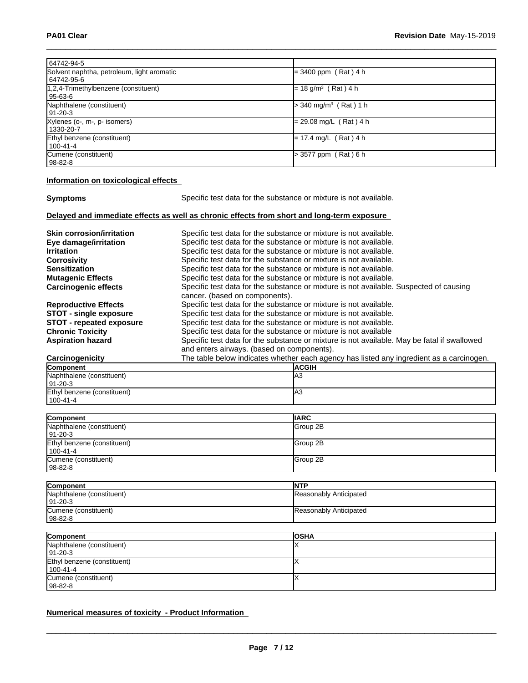| 64742-94-5                                 |                                     |
|--------------------------------------------|-------------------------------------|
| Solvent naphtha, petroleum, light aromatic | $= 3400$ ppm (Rat) 4 h              |
| 64742-95-6                                 |                                     |
| 1,2,4-Trimethylbenzene (constituent)       | $= 18$ g/m <sup>3</sup> (Rat) 4 h   |
| 95-63-6                                    |                                     |
| Naphthalene (constituent)                  | $>$ 340 mg/m <sup>3</sup> (Rat) 1 h |
| l 91-20-3                                  |                                     |
| Xylenes (o-, m-, p- isomers)               | $= 29.08$ mg/L (Rat) 4 h            |
| 1330-20-7                                  |                                     |
| Ethyl benzene (constituent)                | $= 17.4$ mg/L (Rat) 4 h             |
| 100-41-4                                   |                                     |
| Cumene (constituent)                       | > 3577 ppm (Rat) 6 h                |
| 98-82-8                                    |                                     |

### **Information on toxicological effects**

| <b>Symptoms</b> |
|-----------------|
|-----------------|

**Symptoms** Specific test data for the substance or mixture is not available.

### **Delayed and immediate effects as well as chronic effects from short and long-term exposure**

| <b>ACGIH</b>                                                                                |
|---------------------------------------------------------------------------------------------|
| The table below indicates whether each agency has listed any ingredient as a carcinogen.    |
| and enters airways. (based on components).                                                  |
| Specific test data for the substance or mixture is not available. May be fatal if swallowed |
| Specific test data for the substance or mixture is not available                            |
| Specific test data for the substance or mixture is not available.                           |
| Specific test data for the substance or mixture is not available.                           |
| Specific test data for the substance or mixture is not available.                           |
| cancer. (based on components).                                                              |
| Specific test data for the substance or mixture is not available. Suspected of causing      |
| Specific test data for the substance or mixture is not available.                           |
| Specific test data for the substance or mixture is not available.                           |
| Specific test data for the substance or mixture is not available.                           |
| Specific test data for the substance or mixture is not available.                           |
| Specific test data for the substance or mixture is not available.                           |
| Specific test data for the substance or mixture is not available.                           |
|                                                                                             |

| <b>Component</b>            | IACGIH |
|-----------------------------|--------|
| Naphthalene (constituent)   | IA3    |
| $ 91-20-3 $                 |        |
| Ethyl benzene (constituent) | ـ IA   |
| $1100 - 41 - 4$             |        |

| Component                   | <b>IIARC</b>     |
|-----------------------------|------------------|
| Naphthalene (constituent)   | Group 2B         |
| 91-20-3                     |                  |
| Ethyl benzene (constituent) | Group 2B         |
| 100-41-4                    |                  |
| Cumene (constituent)        | <b>IGroup 2B</b> |
| 98-82-8                     |                  |

| Component                 | <b>INTP</b>            |
|---------------------------|------------------------|
| Naphthalene (constituent) | Reasonably Anticipated |
| $191 - 20 - 3$            |                        |
| Cumene (constituent)      | Reasonably Anticipated |
| $ 98-82-8 $               |                        |

| Component                   | <b>losha</b> |
|-----------------------------|--------------|
| Naphthalene (constituent)   |              |
| $ 91-20-3 $                 |              |
| Ethyl benzene (constituent) |              |
| 100-41-4                    |              |
| Cumene (constituent)        |              |
| 98-82-8                     |              |

### **Numerical measures of toxicity - Product Information**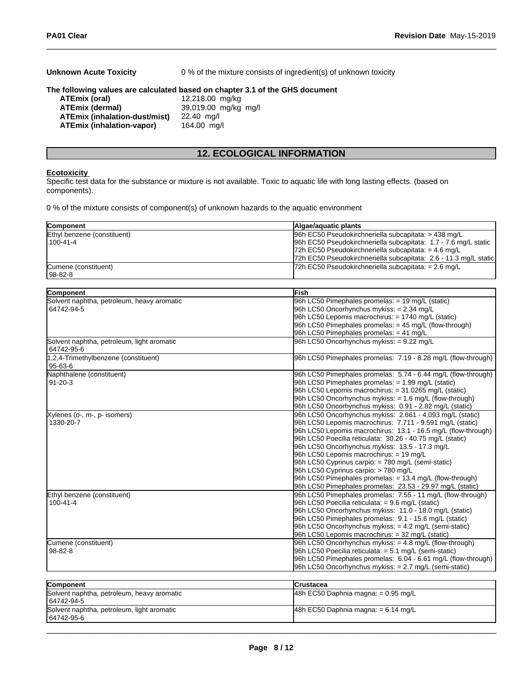| <b>Unknown Acute Toxicity</b>        | 0 % of the mixture consists of ingredient(s) of unknown toxicity             |
|--------------------------------------|------------------------------------------------------------------------------|
|                                      | The following values are calculated based on chapter 3.1 of the GHS document |
| ATEmix (oral)                        | 12,218.00 mg/kg                                                              |
| <b>ATEmix (dermal)</b>               | 39,019.00 mg/kg mg/l                                                         |
| <b>ATEmix (inhalation-dust/mist)</b> | 22.40 mg/l                                                                   |
| <b>ATEmix (inhalation-vapor)</b>     | 164.00 mg/l                                                                  |

### **12. ECOLOGICAL INFORMATION**

#### **Ecotoxicity**

Specific test data for the substance or mixture is not available. Toxic to aquatic life with long lasting effects. (based on components).

0 % of the mixture consists of component(s) of unknown hazards to the aquatic environment

| Component                                                | Algae/aquatic plants                                             |  |
|----------------------------------------------------------|------------------------------------------------------------------|--|
| Ethyl benzene (constituent)                              | 96h EC50 Pseudokirchneriella subcapitata: > 438 mg/L             |  |
| $100 - 41 - 4$                                           | 96h EC50 Pseudokirchneriella subcapitata: 1.7 - 7.6 mg/L static  |  |
|                                                          | 72h EC50 Pseudokirchneriella subcapitata: = 4.6 mg/L             |  |
|                                                          | 72h EC50 Pseudokirchneriella subcapitata: 2.6 - 11.3 mg/L static |  |
| Cumene (constituent)                                     | 72h EC50 Pseudokirchneriella subcapitata: = 2.6 mg/L             |  |
| 98-82-8                                                  |                                                                  |  |
|                                                          |                                                                  |  |
| Component                                                | <b>lFish</b>                                                     |  |
| Solvent naphtha, petroleum, heavy aromatic               | 96h LC50 Pimephales promelas: = 19 mg/L (static)                 |  |
| 64742-94-5                                               | 96h LC50 Oncorhynchus mykiss: = 2.34 mg/L                        |  |
|                                                          | 96h LC50 Lepomis macrochirus: = 1740 mg/L (static)               |  |
|                                                          | 96h LC50 Pimephales promelas: $=$ 45 mg/L (flow-through)         |  |
|                                                          | 96h LC50 Pimephales promelas: = 41 mg/L                          |  |
| Solvent naphtha, petroleum, light aromatic<br>64742-95-6 | 96h LC50 Oncorhynchus mykiss: = 9.22 mg/L                        |  |
| 1,2,4-Trimethylbenzene (constituent)<br>95-63-6          | 96h LC50 Pimephales promelas: 7.19 - 8.28 mg/L (flow-through)    |  |
| Naphthalene (constituent)                                | 96h LC50 Pimephales promelas: 5.74 - 6.44 mg/L (flow-through)    |  |
| 91-20-3                                                  | 96h LC50 Pimephales promelas: = 1.99 mg/L (static)               |  |
|                                                          | 96h LC50 Lepomis macrochirus: = 31.0265 mg/L (static)            |  |
|                                                          | 96h LC50 Oncorhynchus mykiss: = 1.6 mg/L (flow-through)          |  |
|                                                          | 96h LC50 Oncorhynchus mykiss: 0.91 - 2.82 mg/L (static)          |  |
| Xylenes (o-, m-, p- isomers)                             | 96h LC50 Oncorhynchus mykiss: 2.661 - 4.093 mg/L (static)        |  |
| 1330-20-7                                                | 96h LC50 Lepomis macrochirus: 7.711 - 9.591 mg/L (static)        |  |
|                                                          | 96h LC50 Lepomis macrochirus: 13.1 - 16.5 mg/L (flow-through)    |  |
|                                                          | 96h LC50 Poecilia reticulata: 30.26 - 40.75 mg/L (static)        |  |
|                                                          | 96h LC50 Oncorhynchus mykiss: 13.5 - 17.3 mg/L                   |  |
|                                                          | 96h LC50 Lepomis macrochirus: = 19 mg/L                          |  |
|                                                          | 96h LC50 Cyprinus carpio: = 780 mg/L (semi-static)               |  |
|                                                          | 96h LC50 Cyprinus carpio: > 780 mg/L                             |  |
|                                                          | 96h LC50 Pimephales promelas: = 13.4 mg/L (flow-through)         |  |
|                                                          | 96h LC50 Pimephales promelas: 23.53 - 29.97 mg/L (static)        |  |
| Ethyl benzene (constituent)                              | 96h LC50 Pimephales promelas: 7.55 - 11 mg/L (flow-through)      |  |
| $100 - 41 - 4$                                           | 96h LC50 Poecilia reticulata: = 9.6 mg/L (static)                |  |
|                                                          | 96h LC50 Oncorhynchus mykiss: 11.0 - 18.0 mg/L (static)          |  |
|                                                          | 96h LC50 Pimephales promelas: 9.1 - 15.6 mg/L (static)           |  |
|                                                          | 96h LC50 Oncorhynchus mykiss: = 4.2 mg/L (semi-static)           |  |
|                                                          | 96h LC50 Lepomis macrochirus: = 32 mg/L (static)                 |  |
| Cumene (constituent)                                     | 96h LC50 Oncorhynchus mykiss: $= 4.8$ mg/L (flow-through)        |  |
| 98-82-8                                                  | 96h LC50 Poecilia reticulata: = 5.1 mg/L (semi-static)           |  |
|                                                          | 96h LC50 Pimephales promelas: 6.04 - 6.61 mg/L (flow-through)    |  |
|                                                          | 96h LC50 Oncorhynchus mykiss: = 2.7 mg/L (semi-static)           |  |
|                                                          |                                                                  |  |

| Component                                  | <b>ICrustacea</b>                      |
|--------------------------------------------|----------------------------------------|
| Solvent naphtha, petroleum, heavy aromatic | $ 48h$ EC50 Daphnia magna: = 0.95 mg/L |
| 64742-94-5                                 |                                        |
| Solvent naphtha, petroleum, light aromatic | 48h EC50 Daphnia magna: $= 6.14$ mg/L  |
| 64742-95-6                                 |                                        |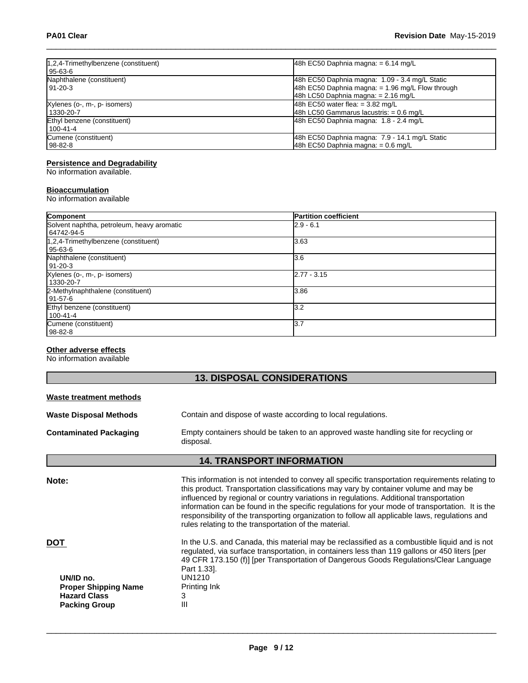| 1,2,4-Trimethylbenzene (constituent)<br>  95-63-6 | 48h EC50 Daphnia magna: $= 6.14$ mg/L                                                                                                       |
|---------------------------------------------------|---------------------------------------------------------------------------------------------------------------------------------------------|
| Naphthalene (constituent)<br>191-20-3             | 48h EC50 Daphnia magna: 1.09 - 3.4 mg/L Static<br>48h EC50 Daphnia magna: = 1.96 mg/L Flow through<br>$48h$ LC50 Daphnia magna: = 2.16 mg/L |
| Xylenes (o-, m-, p- isomers)<br>1330-20-7         | $ 48h$ EC50 water flea: = 3.82 mg/L<br>48h LC50 Gammarus lacustris: $= 0.6$ mg/L                                                            |
| Ethyl benzene (constituent)<br>100-41-4           | 48h EC50 Daphnia magna: 1.8 - 2.4 mg/L                                                                                                      |
| Cumene (constituent)<br>  98-82-8                 | 48h EC50 Daphnia magna: 7.9 - 14.1 mg/L Static<br>48h EC50 Daphnia magna: $= 0.6$ mg/L                                                      |

### **Persistence and Degradability**

No information available.

### **Bioaccumulation**

No information available

| Component                                  | <b>Partition coefficient</b> |  |
|--------------------------------------------|------------------------------|--|
| Solvent naphtha, petroleum, heavy aromatic | $2.9 - 6.1$                  |  |
| 64742-94-5                                 |                              |  |
| 1,2,4-Trimethylbenzene (constituent)       | 13.63                        |  |
| 95-63-6                                    |                              |  |
| Naphthalene (constituent)                  | 3.6                          |  |
| 91-20-3                                    |                              |  |
| Xylenes (o-, m-, p- isomers)               | $2.77 - 3.15$                |  |
| 1330-20-7                                  |                              |  |
| 2-Methylnaphthalene (constituent)          | 3.86                         |  |
| l 91-57-6                                  |                              |  |
| Ethyl benzene (constituent)                | l3.2                         |  |
| 100-41-4                                   |                              |  |
| Cumene (constituent)                       | 13.7                         |  |
| 98-82-8                                    |                              |  |

### **Other adverse effects**

No information available

г

| <b>13. DISPOSAL CONSIDERATIONS</b>                                                                    |                                                                                                                                                                                                                                                                                                                                                                                                                                                                                                                                                 |  |
|-------------------------------------------------------------------------------------------------------|-------------------------------------------------------------------------------------------------------------------------------------------------------------------------------------------------------------------------------------------------------------------------------------------------------------------------------------------------------------------------------------------------------------------------------------------------------------------------------------------------------------------------------------------------|--|
| <b>Waste treatment methods</b>                                                                        |                                                                                                                                                                                                                                                                                                                                                                                                                                                                                                                                                 |  |
| <b>Waste Disposal Methods</b>                                                                         | Contain and dispose of waste according to local regulations.                                                                                                                                                                                                                                                                                                                                                                                                                                                                                    |  |
| <b>Contaminated Packaging</b>                                                                         | Empty containers should be taken to an approved waste handling site for recycling or<br>disposal.                                                                                                                                                                                                                                                                                                                                                                                                                                               |  |
|                                                                                                       | <b>14. TRANSPORT INFORMATION</b>                                                                                                                                                                                                                                                                                                                                                                                                                                                                                                                |  |
| Note:                                                                                                 | This information is not intended to convey all specific transportation requirements relating to<br>this product. Transportation classifications may vary by container volume and may be<br>influenced by regional or country variations in regulations. Additional transportation<br>information can be found in the specific regulations for your mode of transportation. It is the<br>responsibility of the transporting organization to follow all applicable laws, regulations and<br>rules relating to the transportation of the material. |  |
| <b>DOT</b><br>UN/ID no.<br><b>Proper Shipping Name</b><br><b>Hazard Class</b><br><b>Packing Group</b> | In the U.S. and Canada, this material may be reclassified as a combustible liquid and is not<br>regulated, via surface transportation, in containers less than 119 gallons or 450 liters [per<br>49 CFR 173.150 (f)] [per Transportation of Dangerous Goods Regulations/Clear Language<br>Part 1.33].<br>UN1210<br>Printing Ink<br>3<br>Ш                                                                                                                                                                                                       |  |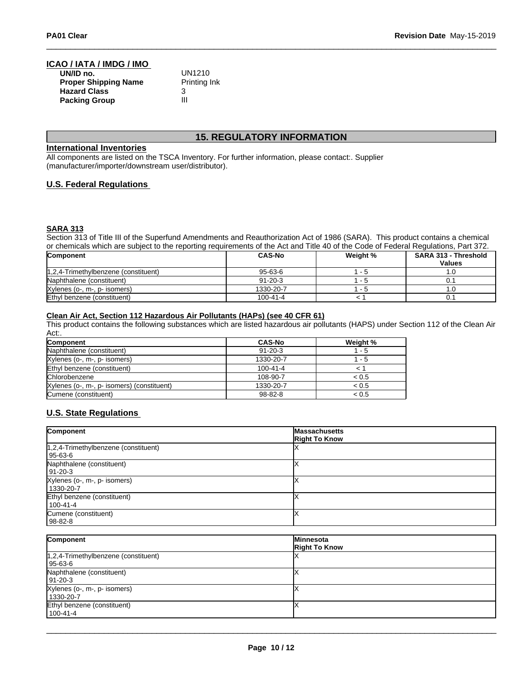# **ICAO / IATA / IMDG / IMO**

| UN/ID no.                   | UN1210       |
|-----------------------------|--------------|
| <b>Proper Shipping Name</b> | Printing Ink |
| <b>Hazard Class</b>         |              |
| <b>Packing Group</b>        | Ш            |

## **15. REGULATORY INFORMATION**

### **International Inventories**

All components are listed on the TSCA Inventory. For further information, please contact:. Supplier (manufacturer/importer/downstream user/distributor).

### **U.S. Federal Regulations**

### **SARA 313**

Section 313 of Title III of the Superfund Amendments and Reauthorization Act of 1986 (SARA). This product contains a chemical or chemicals which are subject to the reporting requirements of the Act and Title 40 of the Code of Federal Regulations, Part 372.

| <b>Component</b>                     | <b>CAS-No</b> | Weight % | SARA 313 - Threshold<br><b>Values</b> |
|--------------------------------------|---------------|----------|---------------------------------------|
| 1,2,4-Trimethylbenzene (constituent) | $95 - 63 - 6$ | - 5      | . u                                   |
| Naphthalene (constituent)            | $91 - 20 - 3$ | - 7      |                                       |
| Xylenes (o-, m-, p- isomers)         | 1330-20-7     | - 5      |                                       |
| Ethyl benzene (constituent)          | 100-41-4      |          | υ.                                    |

### **Clean Air Act,Section 112 Hazardous Air Pollutants (HAPs) (see 40 CFR 61)**

This product contains the following substances which are listed hazardous air pollutants (HAPS) under Section 112 of the Clean Air Act:.

| <b>Component</b>                           | <b>CAS-No</b>  | Weight % |
|--------------------------------------------|----------------|----------|
| Naphthalene (constituent)                  | $91 - 20 - 3$  | - 5      |
| Xylenes (o-, m-, p- isomers)               | 1330-20-7      | - 5      |
| Ethyl benzene (constituent)                | $100 - 41 - 4$ |          |
| Chlorobenzene                              | 108-90-7       | < 0.5    |
| Xylenes (o-, m-, p- isomers) (constituent) | 1330-20-7      | < 0.5    |
| Cumene (constituent)                       | $98 - 82 - 8$  | < 0.5    |

### **U.S. State Regulations**

| Component                                | <b>Massachusetts</b><br><b>Right To Know</b> |
|------------------------------------------|----------------------------------------------|
| $ 1,2,4$ -Trimethylbenzene (constituent) |                                              |
| l 95-63-6                                |                                              |
| Naphthalene (constituent)                |                                              |
| 91-20-3                                  |                                              |
| Xylenes (o-, m-, p- isomers)             |                                              |
| 1330-20-7                                |                                              |
| Ethyl benzene (constituent)              |                                              |
| l 100-41-4                               |                                              |
| Cumene (constituent)                     |                                              |
| 98-82-8                                  |                                              |

| Component                                                  | <b>Minnesota</b><br><b>Right To Know</b> |
|------------------------------------------------------------|------------------------------------------|
| $\sqrt{1,2,4}$ -Trimethylbenzene (constituent)<br> 95-63-6 |                                          |
| Naphthalene (constituent)<br>$191 - 20 - 3$                |                                          |
| Xylenes (o-, m-, p- isomers)<br>1330-20-7                  |                                          |
| Ethyl benzene (constituent)<br>100-41-4                    |                                          |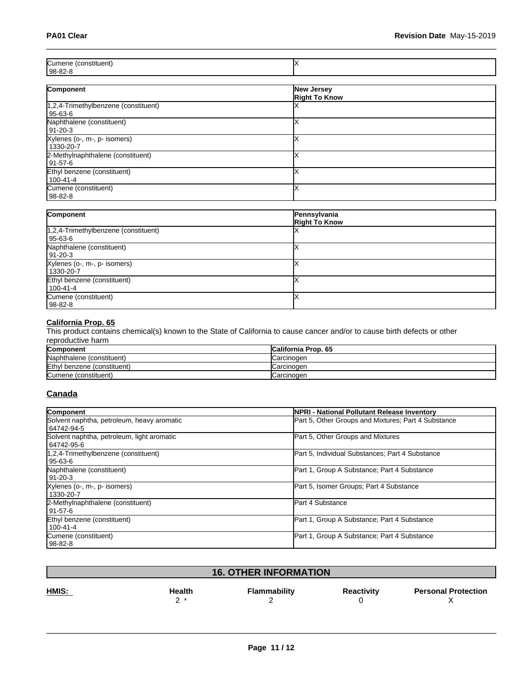| <b>ICun</b><br>בו ודו: |  |
|------------------------|--|
| 98-82-                 |  |

| Component                                         | New Jersey<br><b>Right To Know</b> |
|---------------------------------------------------|------------------------------------|
| 1,2,4-Trimethylbenzene (constituent)<br>  95-63-6 |                                    |
| Naphthalene (constituent)<br>  91-20-3            |                                    |
| Xylenes (o-, m-, p- isomers)<br>1330-20-7         |                                    |
| 2-Methylnaphthalene (constituent)<br> 91-57-6     |                                    |
| Ethyl benzene (constituent)<br>100-41-4           |                                    |
| Cumene (constituent)<br>  98-82-8                 |                                    |

| Component                                            | Pennsylvania<br><b>Right To Know</b> |
|------------------------------------------------------|--------------------------------------|
| $1,2,4$ -Trimethylbenzene (constituent)<br>l 95-63-6 |                                      |
| Naphthalene (constituent)<br>191-20-3                |                                      |
| Xylenes (o-, m-, p- isomers)<br>  1330-20-7          |                                      |
| Ethyl benzene (constituent)<br>$1100 - 41 - 4$       |                                      |
| Cumene (constituent)<br>  98-82-8                    |                                      |

### **California Prop. 65**

This product contains chemical(s) known to the State of California to cause cancer and/or to cause birth defects or other reproductive harm

| Component                   | <b>California Prop. 65</b> |
|-----------------------------|----------------------------|
| Naphthalene (constituent)   | ICarcinoɑen                |
| Ethyl benzene (constituent) | <b>ICarcinogen</b>         |
| Cumene (constituent)        | Carcinogen                 |

### **Canada**

| Component                                                | <b>INPRI - National Pollutant Release Inventory</b> |
|----------------------------------------------------------|-----------------------------------------------------|
| Solvent naphtha, petroleum, heavy aromatic<br>64742-94-5 | Part 5, Other Groups and Mixtures; Part 4 Substance |
| Solvent naphtha, petroleum, light aromatic<br>64742-95-6 | Part 5, Other Groups and Mixtures                   |
| 1.2.4-Trimethylbenzene (constituent)<br>95-63-6          | Part 5, Individual Substances; Part 4 Substance     |
| Naphthalene (constituent)<br>l 91-20-3                   | Part 1, Group A Substance; Part 4 Substance         |
| Xylenes (o-, m-, p- isomers)<br>1330-20-7                | Part 5, Isomer Groups; Part 4 Substance             |
| 2-Methylnaphthalene (constituent)<br>l 91-57-6           | <b>Part 4 Substance</b>                             |
| Ethyl benzene (constituent)<br>100-41-4                  | Part 1, Group A Substance; Part 4 Substance         |
| Cumene (constituent)<br>  98-82-8                        | Part 1, Group A Substance; Part 4 Substance         |

| <b>16. OTHER INFORMATION</b> |        |                     |                   |                            |
|------------------------------|--------|---------------------|-------------------|----------------------------|
| HMIS:                        | Health | <b>Flammability</b> | <b>Reactivity</b> | <b>Personal Protection</b> |
|                              | -      |                     |                   |                            |